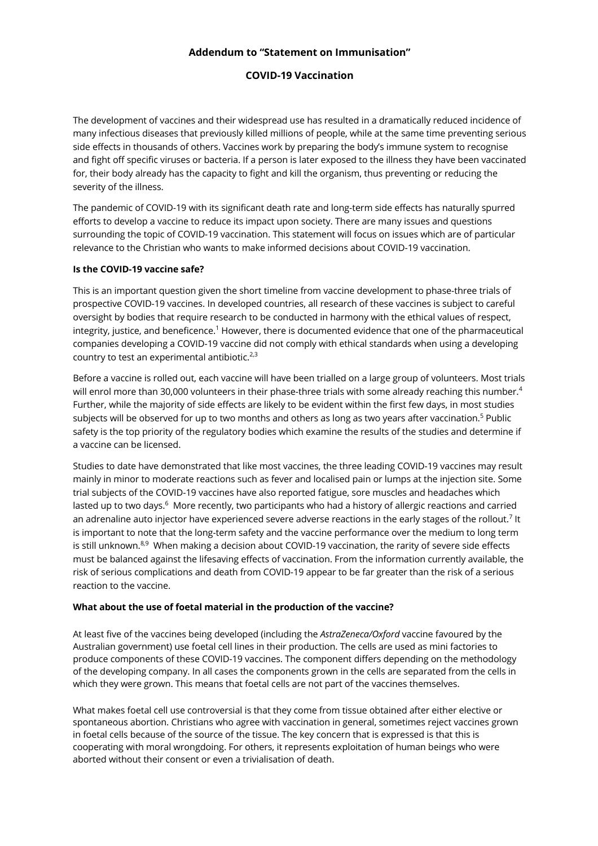# **Addendum to "Statement on Immunisation"**

# **COVID-19 Vaccination**

The development of vaccines and their widespread use has resulted in a dramatically reduced incidence of many infectious diseases that previously killed millions of people, while at the same time preventing serious side effects in thousands of others. Vaccines work by preparing the body's immune system to recognise and fight off specific viruses or bacteria. If a person is later exposed to the illness they have been vaccinated for, their body already has the capacity to fight and kill the organism, thus preventing or reducing the severity of the illness.

The pandemic of COVID-19 with its significant death rate and long-term side effects has naturally spurred efforts to develop a vaccine to reduce its impact upon society. There are many issues and questions surrounding the topic of COVID-19 vaccination. This statement will focus on issues which are of particular relevance to the Christian who wants to make informed decisions about COVID-19 vaccination.

## **Is the COVID-19 vaccine safe?**

This is an important question given the short timeline from vaccine development to phase-three trials of prospective COVID-19 vaccines. In developed countries, all research of these vaccines is subject to careful oversight by bodies that require research to be conducted in harmony with the ethical values of respect, integrity, justice, and beneficence.<sup>1</sup> However, there is documented evidence that one of the pharmaceutical companies developing a COVID-19 vaccine did not comply with ethical standards when using a developing country to test an experimental antibiotic. $2,3$ 

Before a vaccine is rolled out, each vaccine will have been trialled on a large group of volunteers. Most trials will enrol more than 30,000 volunteers in their phase-three trials with some already reaching this number.<sup>4</sup> Further, while the majority of side effects are likely to be evident within the first few days, in most studies subjects will be observed for up to two months and others as long as two years after vaccination. <sup>5</sup> Public safety is the top priority of the regulatory bodies which examine the results of the studies and determine if a vaccine can be licensed.

Studies to date have demonstrated that like most vaccines, the three leading COVID-19 vaccines may result mainly in minor to moderate reactions such as fever and localised pain or lumps at the injection site. Some trial subjects of the COVID-19 vaccines have also reported fatigue, sore muscles and headaches which lasted up to two days.<sup>6</sup> More recently, two participants who had a history of allergic reactions and carried an adrenaline auto injector have experienced severe adverse reactions in the early stages of the rollout.<sup>7</sup> It is important to note that the long-term safety and the vaccine performance over the medium to long term is still unknown.<sup>8,9</sup> When making a decision about COVID-19 vaccination, the rarity of severe side effects must be balanced against the lifesaving effects of vaccination. From the information currently available, the risk of serious complications and death from COVID-19 appear to be far greater than the risk of a serious reaction to the vaccine.

#### **What about the use of foetal material in the production of the vaccine?**

At least five of the vaccines being developed (including the *AstraZeneca/Oxford* vaccine favoured by the Australian government) use foetal cell lines in their production. The cells are used as mini factories to produce components of these COVID-19 vaccines. The component differs depending on the methodology of the developing company. In all cases the components grown in the cells are separated from the cells in which they were grown. This means that foetal cells are not part of the vaccines themselves.

What makes foetal cell use controversial is that they come from tissue obtained after either elective or spontaneous abortion. Christians who agree with vaccination in general, sometimes reject vaccines grown in foetal cells because of the source of the tissue. The key concern that is expressed is that this is cooperating with moral wrongdoing. For others, it represents exploitation of human beings who were aborted without their consent or even a trivialisation of death.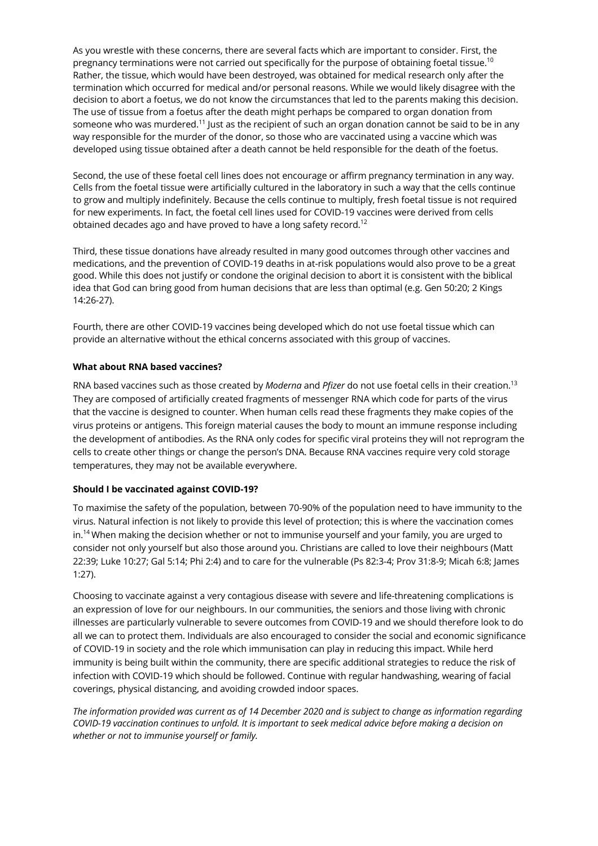As you wrestle with these concerns, there are several facts which are important to consider. First, the pregnancy terminations were not carried out specifically for the purpose of obtaining foetal tissue.<sup>10</sup> Rather, the tissue, which would have been destroyed, was obtained for medical research only after the termination which occurred for medical and/or personal reasons. While we would likely disagree with the decision to abort a foetus, we do not know the circumstances that led to the parents making this decision. The use of tissue from a foetus after the death might perhaps be compared to organ donation from someone who was murdered.<sup>11</sup> Just as the recipient of such an organ donation cannot be said to be in any way responsible for the murder of the donor, so those who are vaccinated using a vaccine which was developed using tissue obtained after a death cannot be held responsible for the death of the foetus.

Second, the use of these foetal cell lines does not encourage or affirm pregnancy termination in any way. Cells from the foetal tissue were artificially cultured in the laboratory in such a way that the cells continue to grow and multiply indefinitely. Because the cells continue to multiply, fresh foetal tissue is not required for new experiments. In fact, the foetal cell lines used for COVID-19 vaccines were derived from cells obtained decades ago and have proved to have a long safety record.<sup>12</sup>

Third, these tissue donations have already resulted in many good outcomes through other vaccines and medications, and the prevention of COVID-19 deaths in at-risk populations would also prove to be a great good. While this does not justify or condone the original decision to abort it is consistent with the biblical idea that God can bring good from human decisions that are less than optimal (e.g. Gen 50:20; 2 Kings 14:26-27).

Fourth, there are other COVID-19 vaccines being developed which do not use foetal tissue which can provide an alternative without the ethical concerns associated with this group of vaccines.

## **What about RNA based vaccines?**

RNA based vaccines such as those created by *Moderna* and *Pfizer* do not use foetal cells in their creation.<sup>13</sup> They are composed of artificially created fragments of messenger RNA which code for parts of the virus that the vaccine is designed to counter. When human cells read these fragments they make copies of the virus proteins or antigens. This foreign material causes the body to mount an immune response including the development of antibodies. As the RNA only codes for specific viral proteins they will not reprogram the cells to create other things or change the person's DNA. Because RNA vaccines require very cold storage temperatures, they may not be available everywhere.

#### **Should I be vaccinated against COVID-19?**

To maximise the safety of the population, between 70-90% of the population need to have immunity to the virus. Natural infection is not likely to provide this level of protection; this is where the vaccination comes in.<sup>14</sup> When making the decision whether or not to immunise yourself and your family, you are urged to consider not only yourself but also those around you. Christians are called to love their neighbours (Matt 22:39; Luke 10:27; Gal 5:14; Phi 2:4) and to care for the vulnerable (Ps 82:3-4; Prov 31:8-9; Micah 6:8; James 1:27).

Choosing to vaccinate against a very contagious disease with severe and life-threatening complications is an expression of love for our neighbours. In our communities, the seniors and those living with chronic illnesses are particularly vulnerable to severe outcomes from COVID-19 and we should therefore look to do all we can to protect them. Individuals are also encouraged to consider the social and economic significance of COVID-19 in society and the role which immunisation can play in reducing this impact. While herd immunity is being built within the community, there are specific additional strategies to reduce the risk of infection with COVID-19 which should be followed. Continue with regular handwashing, wearing of facial coverings, physical distancing, and avoiding crowded indoor spaces.

*The information provided was current as of 14 December 2020 and is subject to change as information regarding COVID-19 vaccination continues to unfold. It is important to seek medical advice before making a decision on whether or not to immunise yourself or family.*